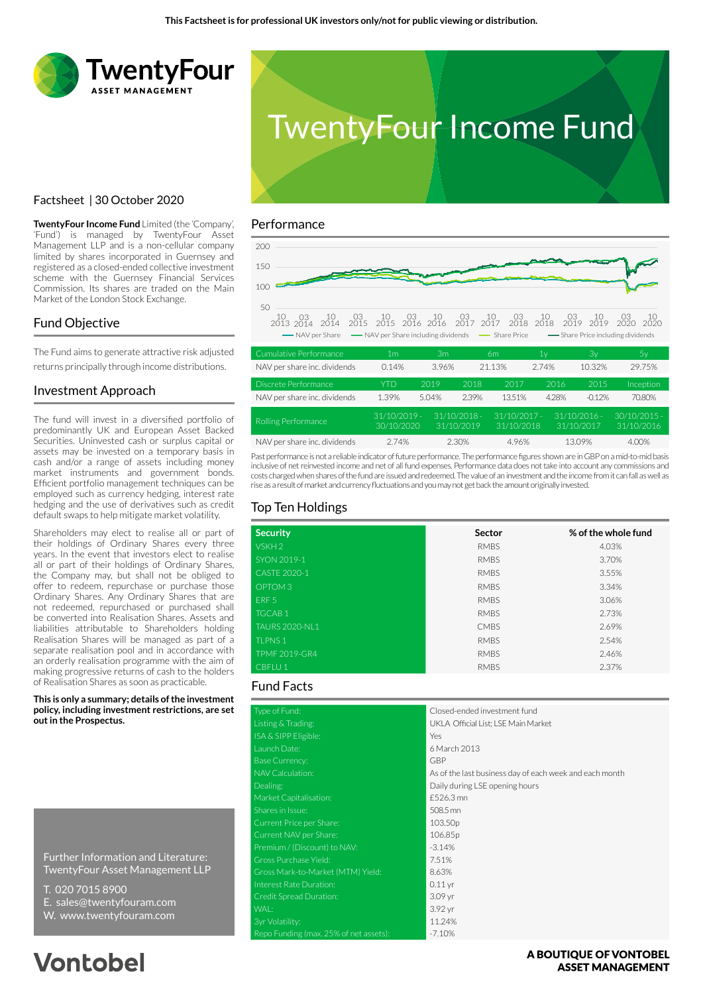



## Factsheet | 30 October 2020

**TwentyFour Income Fund** Limited (the 'Company', 'Fund') is managed by TwentyFour Asset Management LLP and is a non-cellular company limited by shares incorporated in Guernsey and registered as a closed-ended collective investment scheme with the Guernsey Financial Services Commission. Its shares are traded on the Main Market of the London Stock Exchange.

## Fund Objective

The Fund aims to generate attractive risk adjusted returns principally through income distributions.

### Investment Approach

The fund will invest in a diversified portfolio of predominantly UK and European Asset Backed Securities. Uninvested cash or surplus capital or assets may be invested on a temporary basis in cash and/or a range of assets including money market instruments and government bonds. Efficient portfolio management techniques can be employed such as currency hedging, interest rate hedging and the use of derivatives such as credit default swaps to help mitigate market volatility.

Shareholders may elect to realise all or part of their holdings of Ordinary Shares every three years. In the event that investors elect to realise all or part of their holdings of Ordinary Shares, the Company may, but shall not be obliged to offer to redeem, repurchase or purchase those Ordinary Shares. Any Ordinary Shares that are not redeemed, repurchased or purchased shall be converted into Realisation Shares. Assets and liabilities attributable to Shareholders holding Realisation Shares will be managed as part of a separate realisation pool and in accordance with an orderly realisation programme with the aim of making progressive returns of cash to the holders of Realisation Shares as soon as practicable.

**This is only a summary; details of the investment policy, including investment restrictions, are set out in the Prospectus.**

Further Information and Literature: TwentyFour Asset Management LLP

- T. 020 7015 8900
- E. sales@twentyfouram.com
- W. www.twentyfouram.com

# **Vontobel**

### Performance



| Rolling Performance          | $31/10/2019 -$<br>30/10/2020 | $31/10/2018 -$<br>31/10/2019 | $31/10/2017 -$<br>31/10/2018 | $31/10/2016 -$<br>31/10/2017 | $30/10/2015$ -<br>31/10/2016 |
|------------------------------|------------------------------|------------------------------|------------------------------|------------------------------|------------------------------|
| NAV per share inc. dividends | 2.74%                        | 2.30%                        | 496%                         | 13.09%                       | 4.00%                        |

Past performance is not a reliable indicator of future performance. The performance figures shown are in GBP on a mid-to-mid basis inclusive of net reinvested income and net of all fund expenses. Performance data does not take into account any commissions and costs charged when shares of the fund are issued and redeemed. The value of an investment and the income from it can fall as well as rise as a result of market and currency fluctuations and you may not get back the amount originally invested.

## Top Ten Holdings

| <b>Security</b>       | Sector      | % of the whole fund |
|-----------------------|-------------|---------------------|
| VSKH <sub>2</sub>     | <b>RMBS</b> | 4.03%               |
| SYON 2019-1           | <b>RMBS</b> | 3.70%               |
| CASTE 2020-1          | <b>RMBS</b> | 3.55%               |
| OPTOM <sub>3</sub>    | <b>RMBS</b> | 3.34%               |
| ERF <sub>5</sub>      | <b>RMBS</b> | 3.06%               |
| <b>TGCAB1</b>         | <b>RMBS</b> | 2.73%               |
| <b>TAURS 2020-NL1</b> | <b>CMBS</b> | 2.69%               |
| <b>TLPNS1</b>         | <b>RMBS</b> | 2.54%               |
| <b>TPMF 2019-GR4</b>  | <b>RMBS</b> | 2.46%               |
| CBFLU <sub>1</sub>    | <b>RMBS</b> | 2.37%               |

## Fund Facts

| Type of Fund:                          | Closed-ended investment fund                            |
|----------------------------------------|---------------------------------------------------------|
| Listing & Trading:                     | UKLA Official List; LSE Main Market                     |
| ISA & SIPP Eligible:                   | Yes                                                     |
| Launch Date:                           | 6 March 2013                                            |
| <b>Base Currency:</b>                  | <b>GBP</b>                                              |
| NAV Calculation:                       | As of the last business day of each week and each month |
| Dealing:                               | Daily during LSE opening hours                          |
| Market Capitalisation:                 | £526.3 mn                                               |
| Shares in Issue:                       | 508.5 mn                                                |
| Current Price per Share:               | 103.50p                                                 |
| Current NAV per Share:                 | 106.85p                                                 |
| Premium / (Discount) to NAV:           | $-3.14%$                                                |
| Gross Purchase Yield:                  | 7.51%                                                   |
| Gross Mark-to-Market (MTM) Yield:      | 8.63%                                                   |
| Interest Rate Duration:                | $0.11$ yr                                               |
| Credit Spread Duration:                | 3.09 yr                                                 |
| WAL:                                   | 3.92 yr                                                 |
| 3yr Volatility:                        | 11.24%                                                  |
| Repo Funding (max. 25% of net assets): | $-7.10%$                                                |

### A BOUTIOUE OF VONTOBEL **ASSET MANAGEMENT**